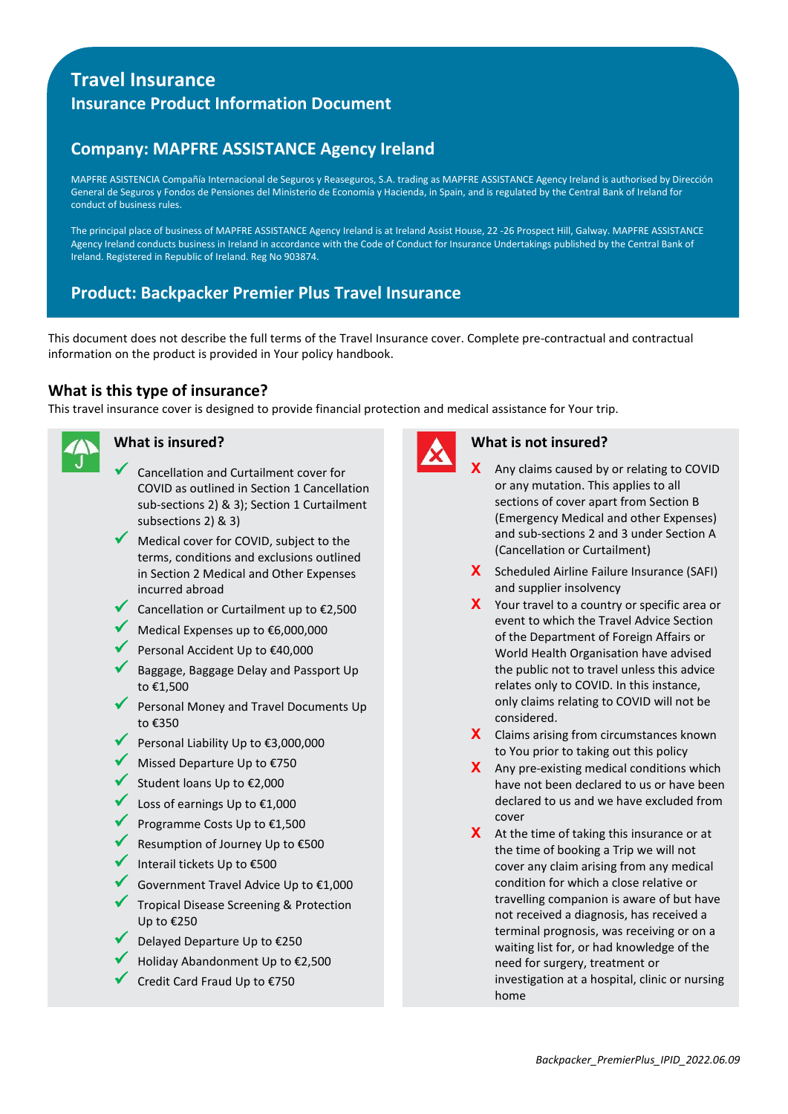# **Travel Insurance Insurance Product Information Document**

# **Company: MAPFRE ASSISTANCE Agency Ireland**

MAPFRE ASISTENCIA Compañía Internacional de Seguros y Reaseguros, S.A. trading as MAPFRE ASSISTANCE Agency Ireland is authorised by Dirección General de Seguros y Fondos de Pensiones del Ministerio de Economía y Hacienda, in Spain, and is regulated by the Central Bank of Ireland for conduct of business rules.

The principal place of business of MAPFRE ASSISTANCE Agency Ireland is at Ireland Assist House, 22 -26 Prospect Hill, Galway. MAPFRE ASSISTANCE Agency Ireland conducts business in Ireland in accordance with the Code of Conduct for Insurance Undertakings published by the Central Bank of Ireland. Registered in Republic of Ireland. Reg No 903874.

# **Product: Backpacker Premier Plus Travel Insurance**

This document does not describe the full terms of the Travel Insurance cover. Complete pre-contractual and contractual information on the product is provided in Your policy handbook.

# **What is this type of insurance?**

This travel insurance cover is designed to provide financial protection and medical assistance for Your trip.



# **What is insured?**

- Cancellation and Curtailment cover for COVID as outlined in Section 1 Cancellation sub-sections 2) & 3); Section 1 Curtailment subsections 2) & 3)
- Medical cover for COVID, subject to the terms, conditions and exclusions outlined in Section 2 Medical and Other Expenses incurred abroad
- Cancellation or Curtailment up to €2,500
- Medical Expenses up to €6,000,000
- Personal Accident Up to €40,000
- Baggage, Baggage Delay and Passport Up to €1,500
- Personal Money and Travel Documents Up to €350
- Personal Liability Up to €3,000,000
- Missed Departure Up to €750
- Student loans Up to €2,000
- Loss of earnings Up to €1,000
- Programme Costs Up to €1,500
- Resumption of Journey Up to €500
- Interail tickets Up to  $£500$
- Government Travel Advice Up to €1,000
- Tropical Disease Screening & Protection Up to €250
- Delayed Departure Up to €250
- Holiday Abandonment Up to €2,500
- Credit Card Fraud Up to €750



### **What is not insured?**

- **X** Any claims caused by or relating to COVID or any mutation. This applies to all sections of cover apart from Section B (Emergency Medical and other Expenses) and sub-sections 2 and 3 under Section A (Cancellation or Curtailment)
- **X** Scheduled Airline Failure Insurance (SAFI) and supplier insolvency
- **X** Your travel to a country or specific area or event to which the Travel Advice Section of the Department of Foreign Affairs or World Health Organisation have advised the public not to travel unless this advice relates only to COVID. In this instance, only claims relating to COVID will not be considered.
- **X** Claims arising from circumstances known to You prior to taking out this policy
- **X** Any pre-existing medical conditions which have not been declared to us or have been declared to us and we have excluded from cover
- **X** At the time of taking this insurance or at the time of booking a Trip we will not cover any claim arising from any medical condition for which a close relative or travelling companion is aware of but have not received a diagnosis, has received a terminal prognosis, was receiving or on a waiting list for, or had knowledge of the need for surgery, treatment or investigation at a hospital, clinic or nursing home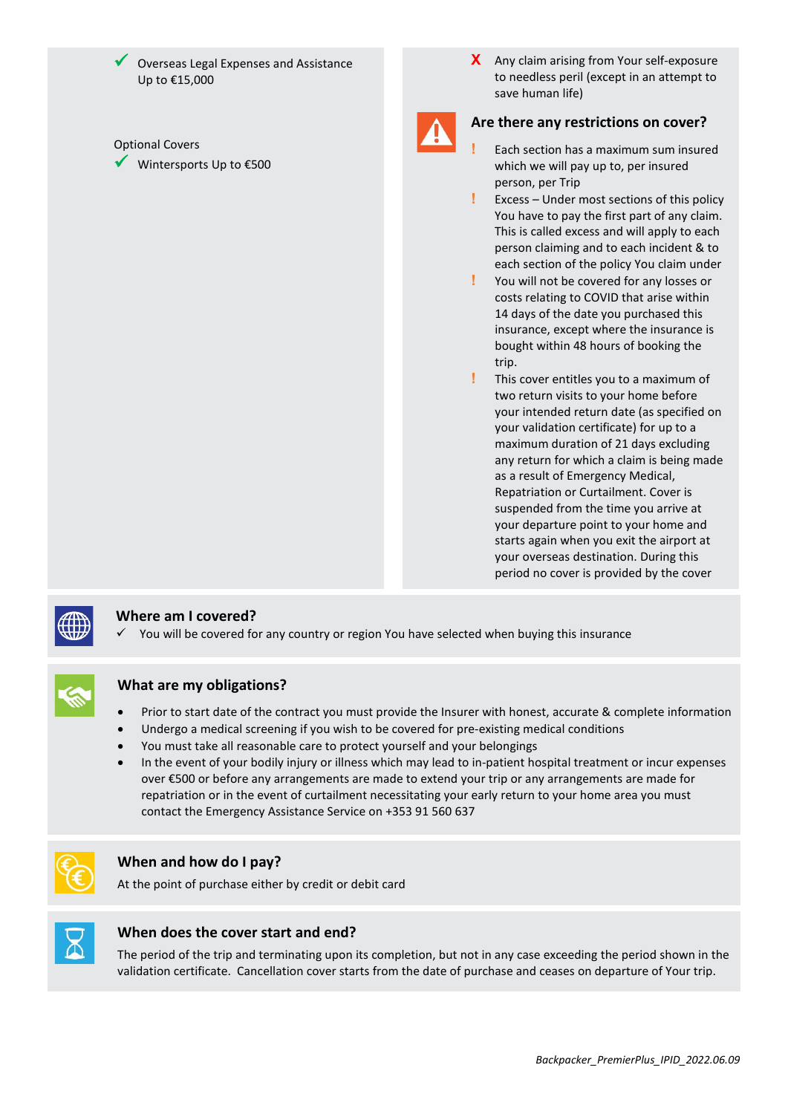Overseas Legal Expenses and Assistance Up to €15,000

#### Optional Covers

Wintersports Up to €500

**X** Any claim arising from Your self-exposure to needless peril (except in an attempt to save human life)



# **Are there any restrictions on cover?**

- **!** Each section has a maximum sum insured which we will pay up to, per insured person, per Trip
- **!** Excess Under most sections of this policy You have to pay the first part of any claim. This is called excess and will apply to each person claiming and to each incident & to each section of the policy You claim under
- **!** You will not be covered for any losses or costs relating to COVID that arise within 14 days of the date you purchased this insurance, except where the insurance is bought within 48 hours of booking the trip.
- **!** This cover entitles you to a maximum of two return visits to your home before your intended return date (as specified on your validation certificate) for up to a maximum duration of 21 days excluding any return for which a claim is being made as a result of Emergency Medical, Repatriation or Curtailment. Cover is suspended from the time you arrive at your departure point to your home and starts again when you exit the airport at your overseas destination. During this period no cover is provided by the cover



## **Where am I covered?**

You will be covered for any country or region You have selected when buying this insurance



## **What are my obligations?**

- Prior to start date of the contract you must provide the Insurer with honest, accurate & complete information
- Undergo a medical screening if you wish to be covered for pre-existing medical conditions
- You must take all reasonable care to protect yourself and your belongings
- In the event of your bodily injury or illness which may lead to in-patient hospital treatment or incur expenses over €500 or before any arrangements are made to extend your trip or any arrangements are made for repatriation or in the event of curtailment necessitating your early return to your home area you must contact the Emergency Assistance Service on +353 91 560 637



#### **When and how do I pay?**

At the point of purchase either by credit or debit card



#### **When does the cover start and end?**

The period of the trip and terminating upon its completion, but not in any case exceeding the period shown in the validation certificate. Cancellation cover starts from the date of purchase and ceases on departure of Your trip.